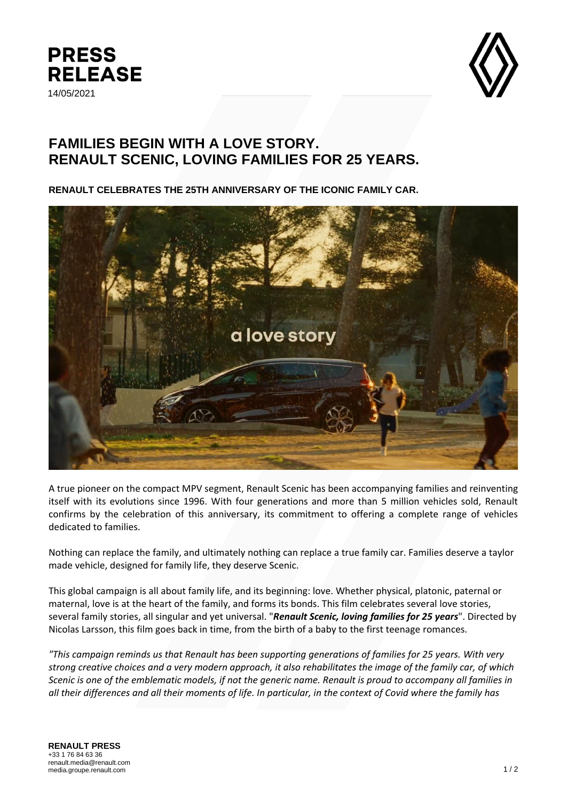



## **FAMILIES BEGIN WITH A LOVE STORY. RENAULT SCENIC, LOVING FAMILIES FOR 25 YEARS.**

**RENAULT CELEBRATES THE 25TH ANNIVERSARY OF THE ICONIC FAMILY CAR.**



A true pioneer on the compact MPV segment, Renault Scenic has been accompanying families and reinventing itself with its evolutions since 1996. With four generations and more than 5 million vehicles sold, Renault confirms by the celebration of this anniversary, its commitment to offering a complete range of vehicles dedicated to families.

Nothing can replace the family, and ultimately nothing can replace a true family car. Families deserve a taylor made vehicle, designed for family life, they deserve Scenic.

This global campaign is all about family life, and its beginning: love. Whether physical, platonic, paternal or maternal, love is at the heart of the family, and forms its bonds. This film celebrates several love stories, several family stories, all singular and yet universal. "*Renault Scenic, loving families for 25 years*". Directed by Nicolas Larsson, this film goes back in time, from the birth of a baby to the first teenage romances.

*"This campaign reminds us that Renault has been supporting generations of families for 25 years. With very strong creative choices and a very modern approach, it also rehabilitates the image of the family car, of which Scenic is one of the emblematic models, if not the generic name. Renault is proud to accompany all families in all their differences and all their moments of life. In particular, in the context of Covid where the family has*